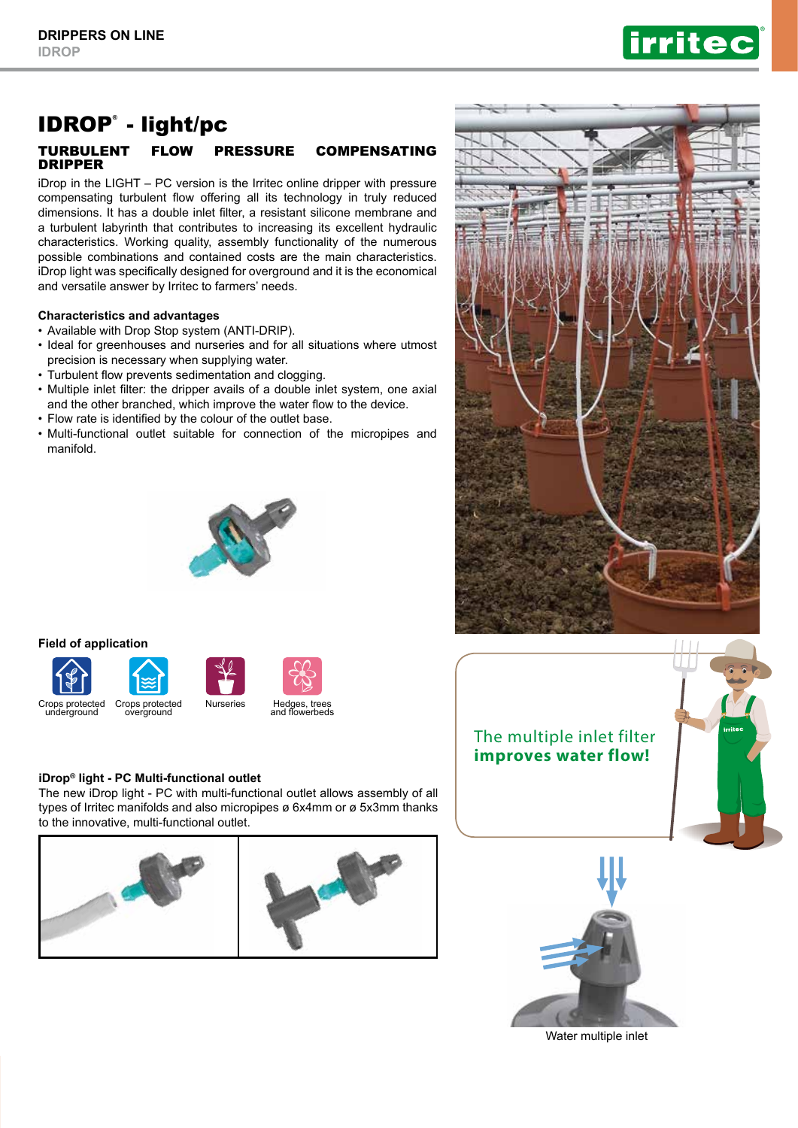

# IDROP® - light/pc

## TURBULENT FLOW PRESSURE COMPENSATING DRIPPER

iDrop in the LIGHT – PC version is the Irritec online dripper with pressure compensating turbulent flow offering all its technology in truly reduced dimensions. It has a double inlet filter, a resistant silicone membrane and a turbulent labyrinth that contributes to increasing its excellent hydraulic characteristics. Working quality, assembly functionality of the numerous possible combinations and contained costs are the main characteristics. iDrop light was specifically designed for overground and it is the economical and versatile answer by Irritec to farmers' needs.

## **Characteristics and advantages**

- Available with Drop Stop system (ANTI-DRIP).
- Ideal for greenhouses and nurseries and for all situations where utmost precision is necessary when supplying water.
- Turbulent flow prevents sedimentation and clogging.
- Multiple inlet filter: the dripper avails of a double inlet system, one axial and the other branched, which improve the water flow to the device.
- Flow rate is identified by the colour of the outlet base.
- Multi-functional outlet suitable for connection of the micropipes and manifold.



### **Field of application**







**iDrop® light - PC Multi-functional outlet**

The new iDrop light - PC with multi-functional outlet allows assembly of all types of Irritec manifolds and also micropipes ø 6x4mm or ø 5x3mm thanks to the innovative, multi-functional outlet.









Water multiple inlet